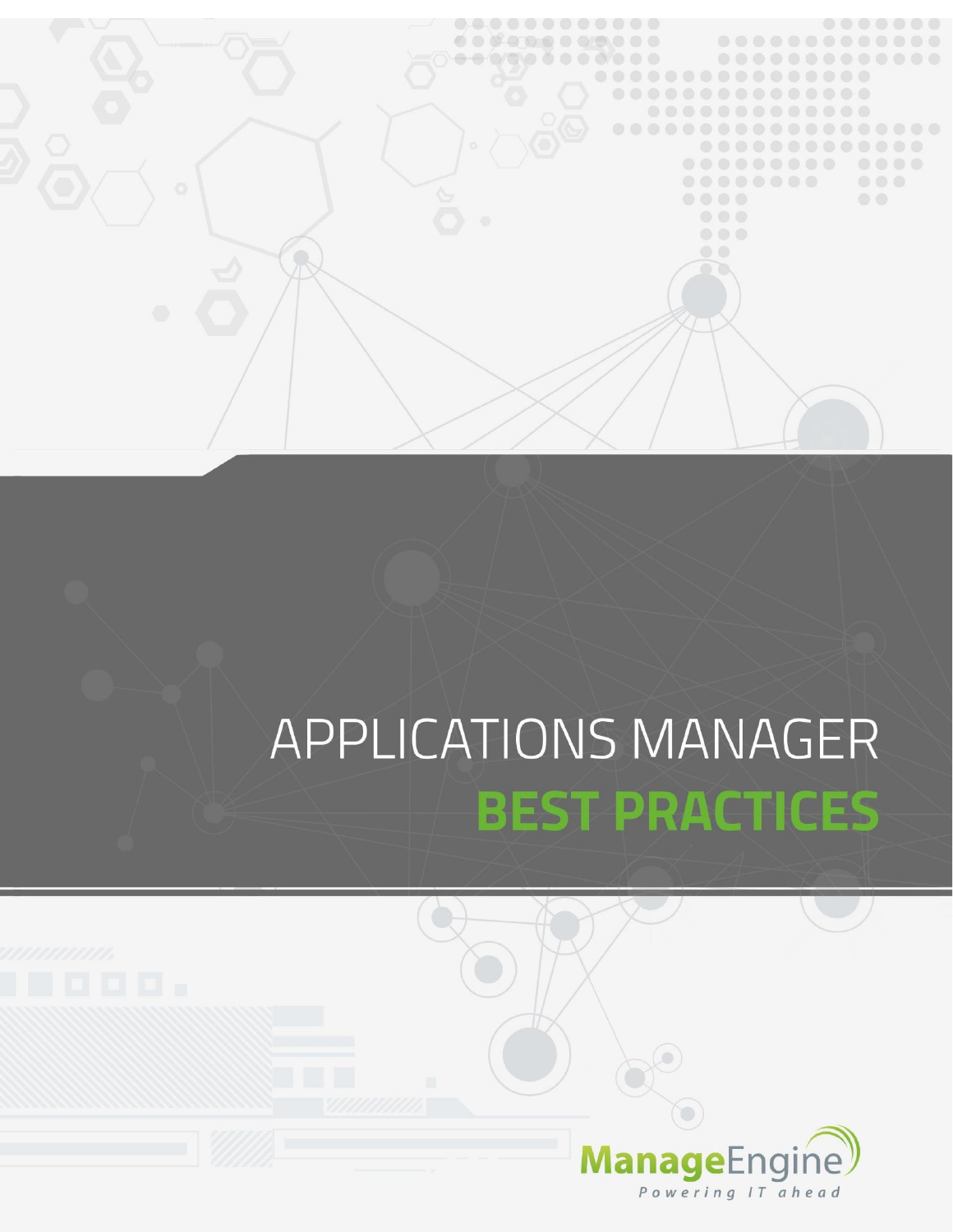

# APPLICATIONS MANAGER **BEST PRACTICES**



 $\circ)$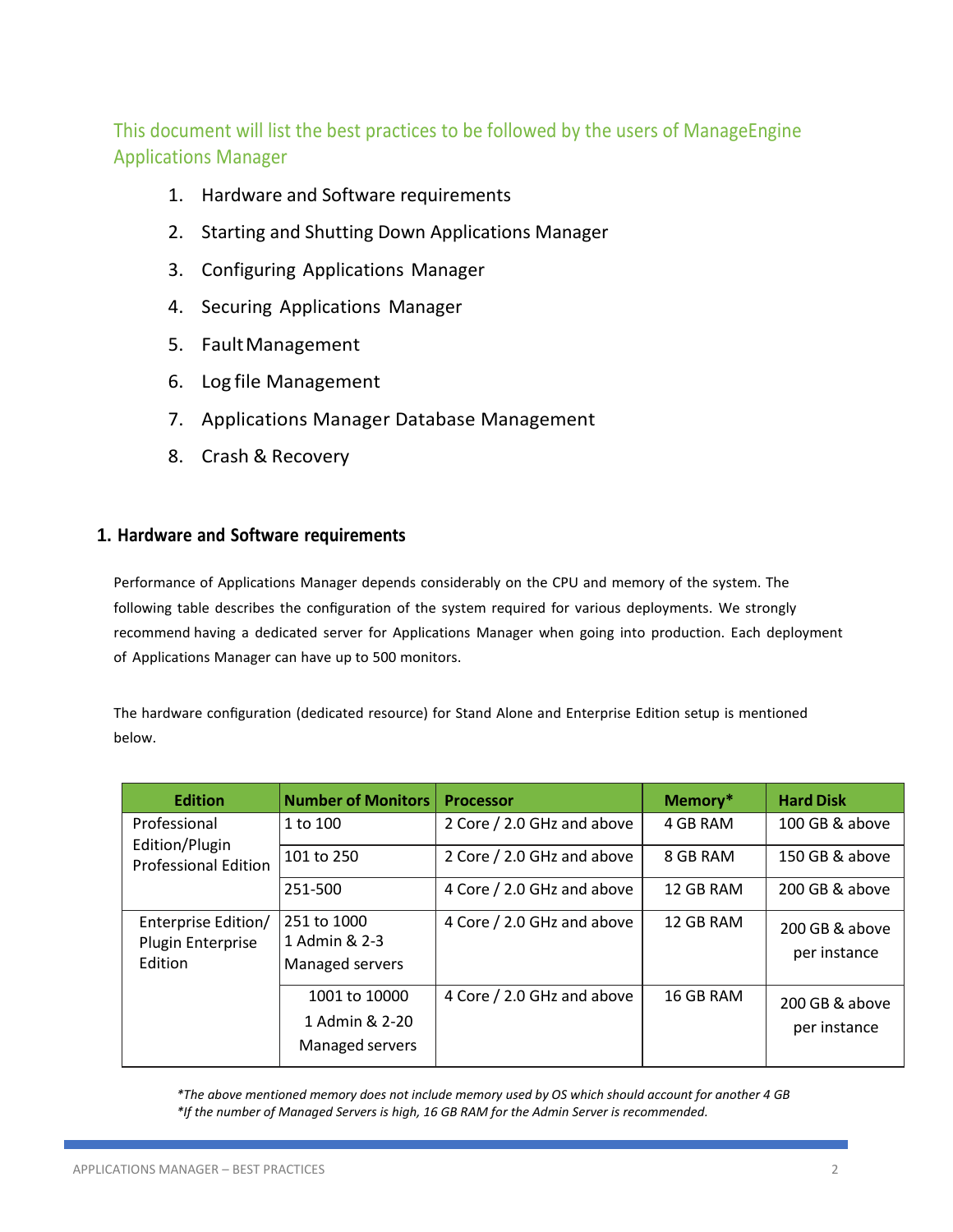This document will list the best practices to be followed by the users of ManageEngine Applications Manager

- 1. Hardware and Software requirements
- 2. Starting and Shutting Down Applications Manager
- 3. Configuring Applications Manager
- 4. Securing Applications Manager
- 5. FaultManagement
- 6. Log file Management
- 7. Applications Manager Database Management
- 8. Crash & Recovery

# **1. Hardware and Software requirements**

Performance of Applications Manager depends considerably on the CPU and memory of the system. The following table describes the configuration of the system required for various deployments. We strongly recommend having a dedicated server for Applications Manager when going into production. Each deployment of Applications Manager can have up to 500 monitors.

The hardware configuration (dedicated resource) for Stand Alone and Enterprise Edition setup is mentioned below.

| <b>Edition</b>                                      | <b>Number of Monitors</b>                          | <b>Processor</b>           | Memory*   | <b>Hard Disk</b>               |
|-----------------------------------------------------|----------------------------------------------------|----------------------------|-----------|--------------------------------|
| Professional                                        | 1 to 100                                           | 2 Core / 2.0 GHz and above | 4 GB RAM  | 100 GB & above                 |
| Edition/Plugin<br><b>Professional Edition</b>       | 101 to 250                                         | 2 Core / 2.0 GHz and above | 8 GB RAM  | 150 GB & above                 |
|                                                     | 251-500                                            | 4 Core / 2.0 GHz and above | 12 GB RAM | 200 GB & above                 |
| Enterprise Edition/<br>Plugin Enterprise<br>Edition | 251 to 1000<br>1 Admin & 2-3<br>Managed servers    | 4 Core / 2.0 GHz and above | 12 GB RAM | 200 GB & above<br>per instance |
|                                                     | 1001 to 10000<br>1 Admin & 2-20<br>Managed servers | 4 Core / 2.0 GHz and above | 16 GB RAM | 200 GB & above<br>per instance |

*\*The above mentioned memory does not include memory used by OS which should account for another 4 GB \*If the number of Managed Servers is high, 16 GB RAM for the Admin Server is recommended.*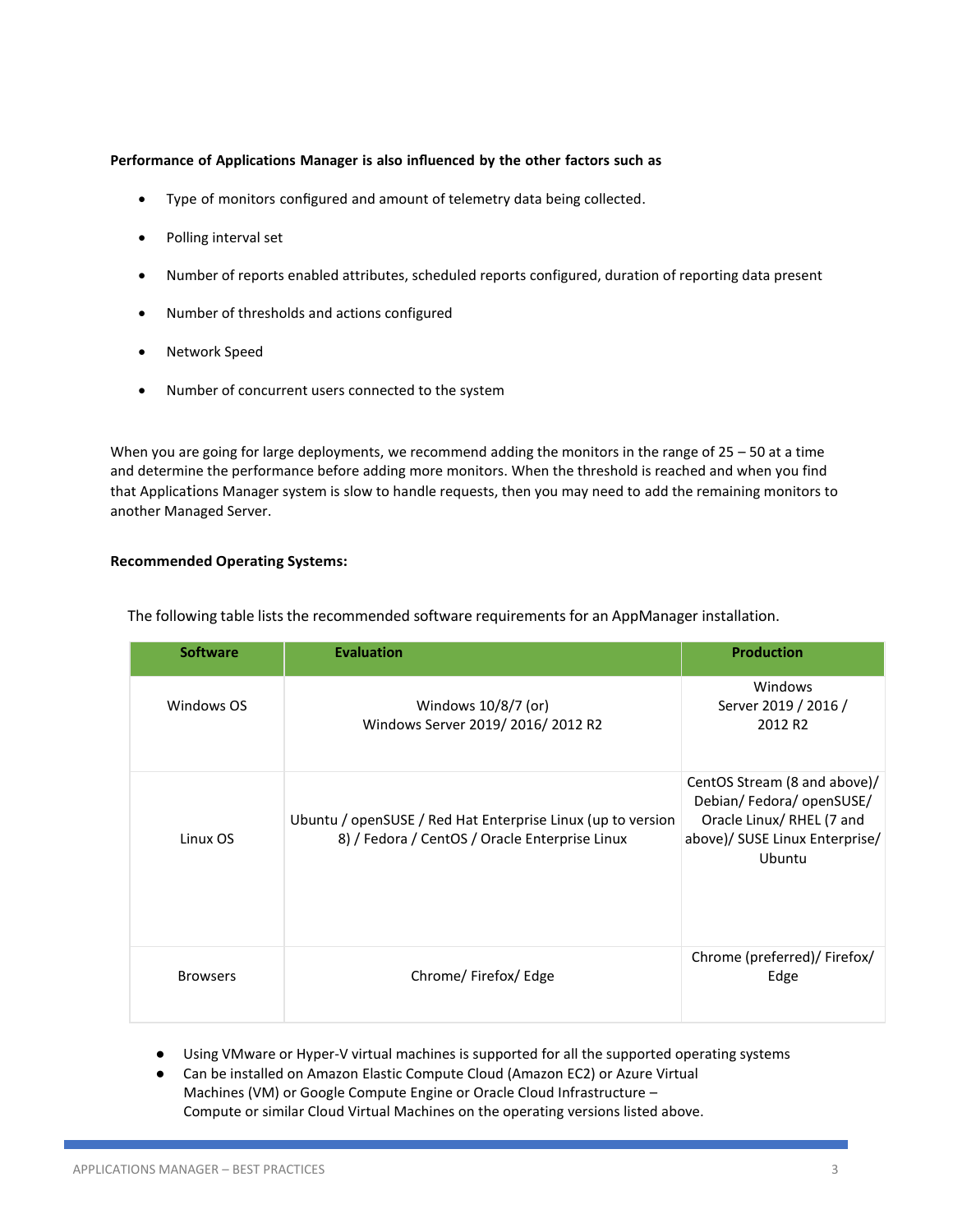#### **Performance of Applications Manager is also influenced by the other factors such as**

- Type of monitors configured and amount of telemetry data being collected.
- Polling interval set
- Number of reports enabled attributes, scheduled reports configured, duration of reporting data present
- Number of thresholds and actions configured
- Network Speed
- Number of concurrent users connected to the system

When you are going for large deployments, we recommend adding the monitors in the range of 25 – 50 at a time and determine the performance before adding more monitors. When the threshold is reached and when you find that Applications Manager system is slow to handle requests, then you may need to add the remaining monitors to another Managed Server.

# **Recommended Operating Systems:**

| <b>Software</b> | <b>Evaluation</b>                                                                                             | <b>Production</b>                                                                                                                |
|-----------------|---------------------------------------------------------------------------------------------------------------|----------------------------------------------------------------------------------------------------------------------------------|
| Windows OS      | Windows 10/8/7 (or)<br>Windows Server 2019/2016/2012 R2                                                       | Windows<br>Server 2019 / 2016 /<br>2012 R <sub>2</sub>                                                                           |
| Linux OS        | Ubuntu / openSUSE / Red Hat Enterprise Linux (up to version<br>8) / Fedora / CentOS / Oracle Enterprise Linux | CentOS Stream (8 and above)/<br>Debian/Fedora/openSUSE/<br>Oracle Linux/ RHEL (7 and<br>above)/ SUSE Linux Enterprise/<br>Ubuntu |
| <b>Browsers</b> | Chrome/Firefox/Edge                                                                                           | Chrome (preferred)/ Firefox/<br>Edge                                                                                             |

The following table lists the recommended software requirements for an AppManager installation.

- Using VMware or Hyper-V virtual machines is supported for all the supported operating systems
- Can be installed on Amazon Elastic Compute Cloud (Amazon EC2) or Azure Virtual Machines (VM) or Google Compute Engine or Oracle Cloud Infrastructure – Compute or similar Cloud Virtual Machines on the operating versions listed above.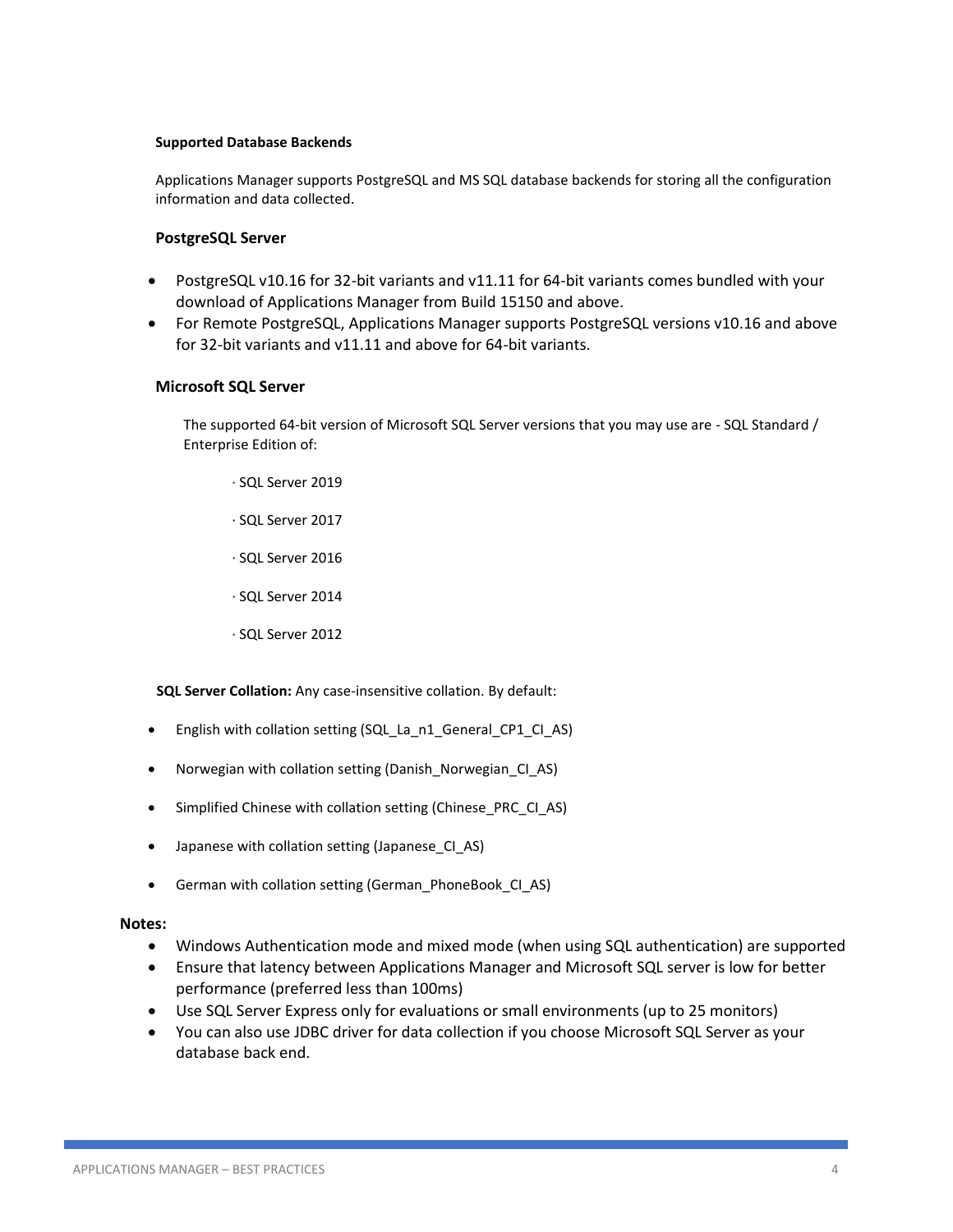## **Supported Database Backends**

Applications Manager supports PostgreSQL and MS SQL database backends for storing all the configuration information and data collected.

# **PostgreSQL Server**

- PostgreSQL v10.16 for 32-bit variants and v11.11 for 64-bit variants comes bundled with your download of Applications Manager from Build 15150 and above.
- For Remote PostgreSQL, Applications Manager supports PostgreSQL versions v10.16 and above for 32-bit variants and v11.11 and above for 64-bit variants.

## **Microsoft SQL Server**

The supported 64-bit version of Microsoft SQL Server versions that you may use are - SQL Standard / Enterprise Edition of:

- ∙ SQL Server 2019
- ∙ SQL Server 2017
- ∙ SQL Server 2016
- ∙ SQL Server 2014
- ∙ SQL Server 2012

**SQL Server Collation:** Any case-insensitive collation. By default:

- English with collation setting (SQL\_La\_n1\_General\_CP1\_CI\_AS)
- Norwegian with collation setting (Danish\_Norwegian\_CI\_AS)
- Simplified Chinese with collation setting (Chinese\_PRC\_CI\_AS)
- Japanese with collation setting (Japanese\_CI\_AS)
- German with collation setting (German\_PhoneBook\_CI\_AS)

## **Notes:**

- Windows Authentication mode and mixed mode (when using SQL authentication) are supported
- Ensure that latency between Applications Manager and Microsoft SQL server is low for better performance (preferred less than 100ms)
- Use SQL Server Express only for evaluations or small environments (up to 25 monitors)
- You can also use JDBC driver for data collection if you choose Microsoft SQL Server as your database back end.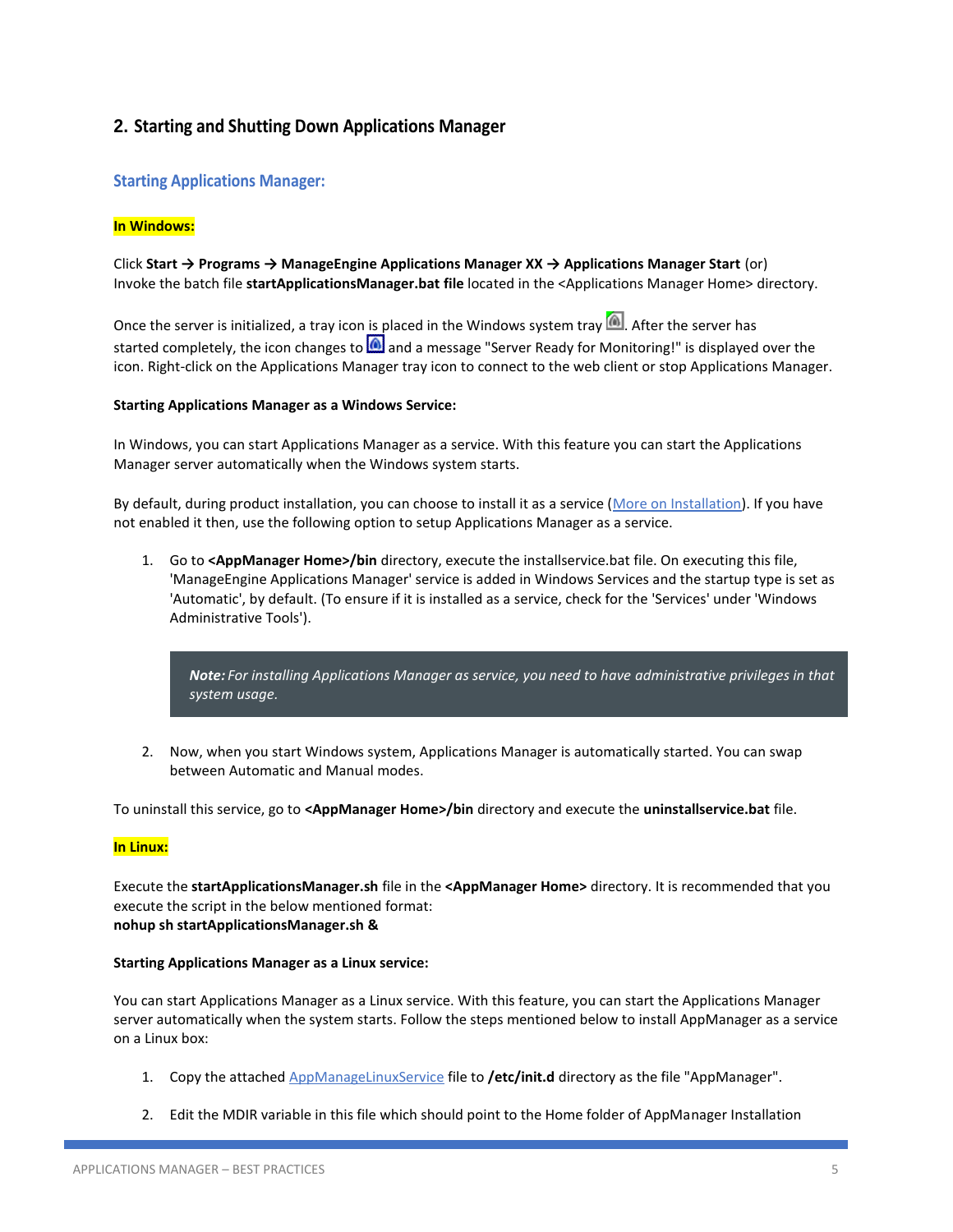# **2. Starting and Shutting Down Applications Manager**

# **Starting Applications Manager:**

## **In Windows:**

# Click **Start → Programs → ManageEngine Applications Manager XX → Applications Manager Start** (or) Invoke the batch file **startApplicationsManager.bat file** located in the <Applications Manager Home> directory.

Once the server is initialized, a tray icon is placed in the Windows system tray  $[$ <sup>(a)</sup>. After the server has started completely, the icon changes to  $\Box$  and a message "Server Ready for Monitoring!" is displayed over the icon. Right-click on the Applications Manager tray icon to connect to the web client or stop Applications Manager.

#### **Starting Applications Manager as a Windows Service:**

In Windows, you can start Applications Manager as a service. With this feature you can start the Applications Manager server automatically when the Windows system starts.

By default, during product installation, you can choose to install it as a service [\(More on Installation\)](https://www.manageengine.com/products/applications_manager/help/installing-application-manager.html). If you have not enabled it then, use the following option to setup Applications Manager as a service.

1. Go to **<AppManager Home>/bin** directory, execute the installservice.bat file. On executing this file, 'ManageEngine Applications Manager' service is added in Windows Services and the startup type is set as 'Automatic', by default. (To ensure if it is installed as a service, check for the 'Services' under 'Windows Administrative Tools').

*Note: For installing Applications Manager as service, you need to have administrative privileges in that system usage.*

2. Now, when you start Windows system, Applications Manager is automatically started. You can swap between Automatic and Manual modes.

To uninstall this service, go to **<AppManager Home>/bin** directory and execute the **uninstallservice.bat** file.

#### **In Linux:**

Execute the **startApplicationsManager.sh** file in the **<AppManager Home>** directory. It is recommended that you execute the script in the below mentioned format: **nohup s[h startApplicationsManager.sh](http://startapplicationsmanager.sh/) &**

#### **Starting Applications Manager as a Linux service:**

You can start Applications Manager as a Linux service. With this feature, you can start the Applications Manager server automatically when the system starts. Follow the steps mentioned below to install AppManager as a service on a Linux box:

- 1. Copy the attached [AppManageLinuxService](https://apm.manageengine.com/_attach/1.2/404862fad7071a3354eaa698743af692a0ae868b6eb0918a/AppManagerLinuxService) file to **/etc/init.d** directory as the file "AppManager".
- 2. Edit the MDIR variable in this file which should point to the Home folder of AppManager Installation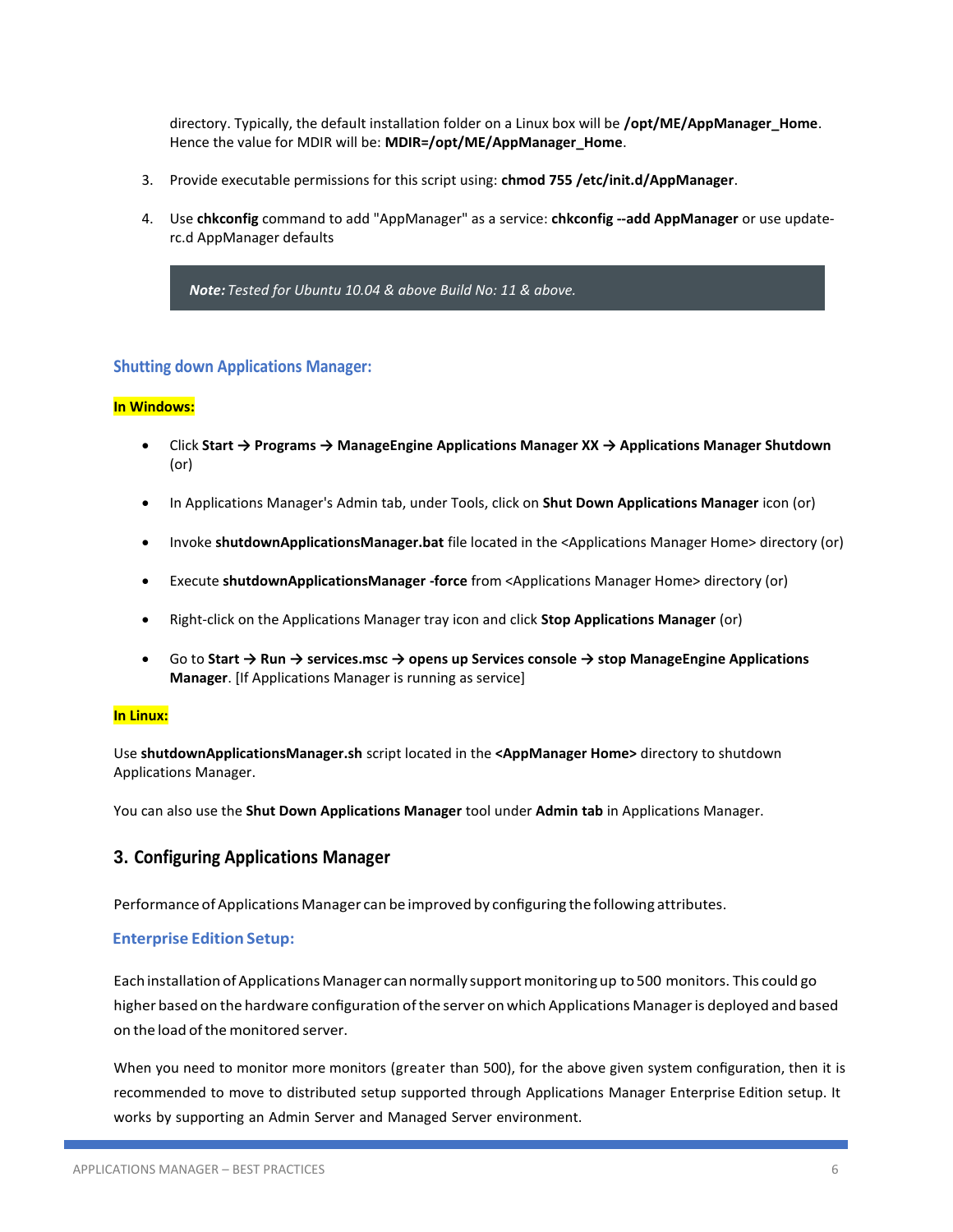directory. Typically, the default installation folder on a Linux box will be **/opt/ME/AppManager\_Home**. Hence the value for MDIR will be: **MDIR=/opt/ME/AppManager\_Home**.

- 3. Provide executable permissions for this script using: **chmod 755 /etc/init.d/AppManager**.
- 4. Use **chkconfig** command to add "AppManager" as a service: **chkconfig --add AppManager** or use updaterc.d AppManager defaults

*Note: Tested for Ubuntu 10.04 & above Build No: 11 & above.*

# **Shutting down Applications Manager:**

#### **In Windows:**

- Click **Start → Programs → ManageEngine Applications Manager XX → Applications Manager Shutdown** (or)
- In Applications Manager's Admin tab, under Tools, click on **Shut Down Applications Manager** icon (or)
- Invoke **shutdownApplicationsManager.bat** file located in the <Applications Manager Home> directory (or)
- Execute **shutdownApplicationsManager -force** from <Applications Manager Home> directory (or)
- Right-click on the Applications Manager tray icon and click **Stop Applications Manager** (or)
- Go to **Start → Run → services.msc → opens up Services console → stop ManageEngine Applications Manager**. [If Applications Manager is running as service]

#### **In Linux:**

Use **shutdownApplicationsManager.sh** script located in the **<AppManager Home>** directory to shutdown Applications Manager.

You can also use the **Shut Down Applications Manager** tool under **Admin tab** in Applications Manager.

# **3. Configuring Applications Manager**

Performance of Applications Manager can be improved by configuring the following attributes.

## **Enterprise Edition Setup:**

Each installation of Applications Manager can normally support monitoring up to 500 monitors. This could go higher based on the hardware configuration ofthe server on which Applications Manageris deployed and based on the load of the monitored server.

When you need to monitor more monitors (greater than 500), for the above given system configuration, then it is recommended to move to distributed setup supported through Applications Manager Enterprise Edition setup. It works by supporting an Admin Server and Managed Server environment.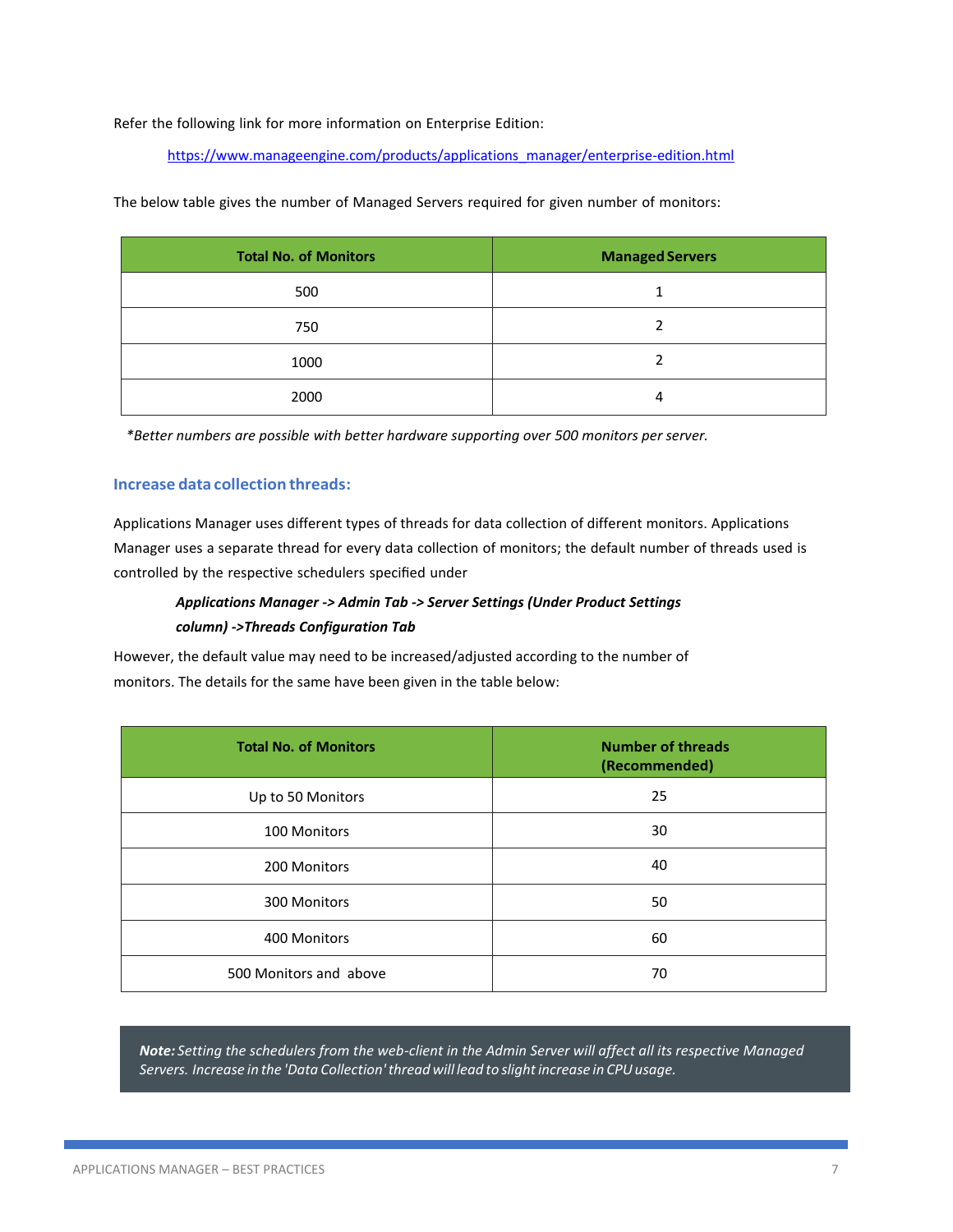Refer the following link for more information on Enterprise Edition:

[https://www.manageengine.com/products/applications\\_manager/enterprise-edition.html](https://www.manageengine.com/products/applications_manager/enterprise-edition.html)

**Total No. of Monitors Managed Servers** 500 1 750 2 1000 2 2000 4

The below table gives the number of Managed Servers required for given number of monitors:

*\*Better numbers are possible with better hardware supporting over 500 monitors per server.*

## **Increase data collection threads:**

Applications Manager uses different types of threads for data collection of different monitors. Applications Manager uses a separate thread for every data collection of monitors; the default number of threads used is controlled by the respective schedulers specified under

# *Applications Manager -> Admin Tab -> Server Settings (Under Product Settings column) ->Threads Configuration Tab*

However, the default value may need to be increased/adjusted according to the number of monitors. The details for the same have been given in the table below:

| <b>Total No. of Monitors</b> | <b>Number of threads</b><br>(Recommended) |
|------------------------------|-------------------------------------------|
| Up to 50 Monitors            | 25                                        |
| 100 Monitors                 | 30                                        |
| 200 Monitors                 | 40                                        |
| 300 Monitors                 | 50                                        |
| 400 Monitors                 | 60                                        |
| 500 Monitors and above       | 70                                        |

*Note: Setting the schedulers from the web-client in the Admin Server will affect all its respective Managed Servers. Increase in the 'Data Collection'thread will lead to slightincrease in CPUusage.*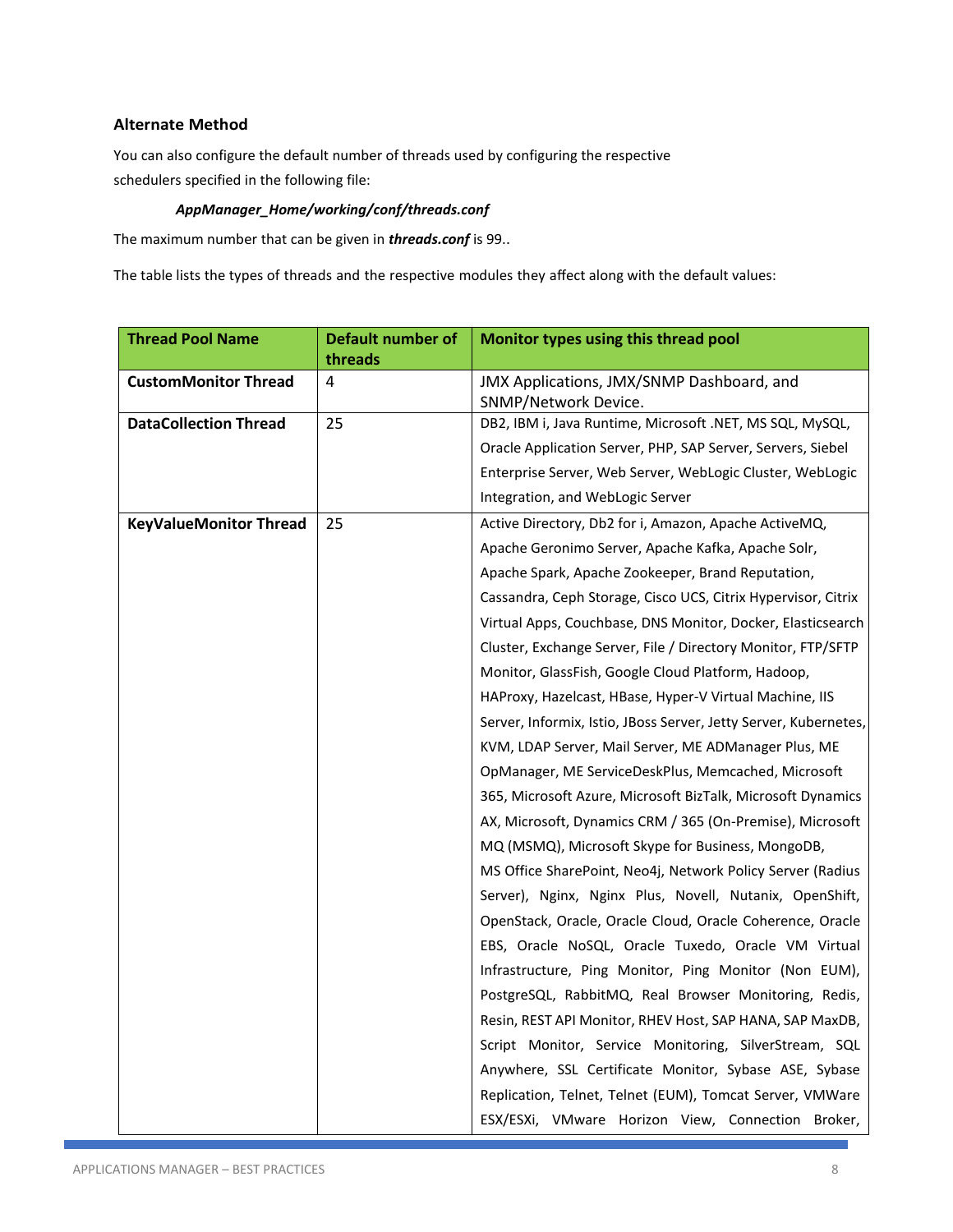# **Alternate Method**

You can also configure the default number of threads used by configuring the respective schedulers specified in the following file:

# *AppManager\_Home/working/conf/threads.conf*

The maximum number that can be given in *threads.conf* is 99..

The table lists the types of threads and the respective modules they affect along with the default values:

| <b>Thread Pool Name</b>       | Default number of | Monitor types using this thread pool                              |
|-------------------------------|-------------------|-------------------------------------------------------------------|
|                               | threads           |                                                                   |
| <b>CustomMonitor Thread</b>   | 4                 | JMX Applications, JMX/SNMP Dashboard, and<br>SNMP/Network Device. |
| <b>DataCollection Thread</b>  | 25                | DB2, IBM i, Java Runtime, Microsoft .NET, MS SQL, MySQL,          |
|                               |                   | Oracle Application Server, PHP, SAP Server, Servers, Siebel       |
|                               |                   | Enterprise Server, Web Server, WebLogic Cluster, WebLogic         |
|                               |                   | Integration, and WebLogic Server                                  |
| <b>KeyValueMonitor Thread</b> | 25                | Active Directory, Db2 for i, Amazon, Apache ActiveMQ,             |
|                               |                   | Apache Geronimo Server, Apache Kafka, Apache Solr,                |
|                               |                   | Apache Spark, Apache Zookeeper, Brand Reputation,                 |
|                               |                   | Cassandra, Ceph Storage, Cisco UCS, Citrix Hypervisor, Citrix     |
|                               |                   | Virtual Apps, Couchbase, DNS Monitor, Docker, Elasticsearch       |
|                               |                   | Cluster, Exchange Server, File / Directory Monitor, FTP/SFTP      |
|                               |                   | Monitor, GlassFish, Google Cloud Platform, Hadoop,                |
|                               |                   | HAProxy, Hazelcast, HBase, Hyper-V Virtual Machine, IIS           |
|                               |                   | Server, Informix, Istio, JBoss Server, Jetty Server, Kubernetes,  |
|                               |                   | KVM, LDAP Server, Mail Server, ME ADManager Plus, ME              |
|                               |                   | OpManager, ME ServiceDeskPlus, Memcached, Microsoft               |
|                               |                   | 365, Microsoft Azure, Microsoft BizTalk, Microsoft Dynamics       |
|                               |                   | AX, Microsoft, Dynamics CRM / 365 (On-Premise), Microsoft         |
|                               |                   | MQ (MSMQ), Microsoft Skype for Business, MongoDB,                 |
|                               |                   | MS Office SharePoint, Neo4j, Network Policy Server (Radius        |
|                               |                   | Server), Nginx, Nginx Plus, Novell, Nutanix, OpenShift,           |
|                               |                   | OpenStack, Oracle, Oracle Cloud, Oracle Coherence, Oracle         |
|                               |                   | EBS, Oracle NoSQL, Oracle Tuxedo, Oracle VM Virtual               |
|                               |                   | Infrastructure, Ping Monitor, Ping Monitor (Non EUM),             |
|                               |                   | PostgreSQL, RabbitMQ, Real Browser Monitoring, Redis,             |
|                               |                   | Resin, REST API Monitor, RHEV Host, SAP HANA, SAP MaxDB,          |
|                               |                   | Script Monitor, Service Monitoring, SilverStream, SQL             |
|                               |                   | Anywhere, SSL Certificate Monitor, Sybase ASE, Sybase             |
|                               |                   | Replication, Telnet, Telnet (EUM), Tomcat Server, VMWare          |
|                               |                   | ESX/ESXi, VMware Horizon View, Connection Broker,                 |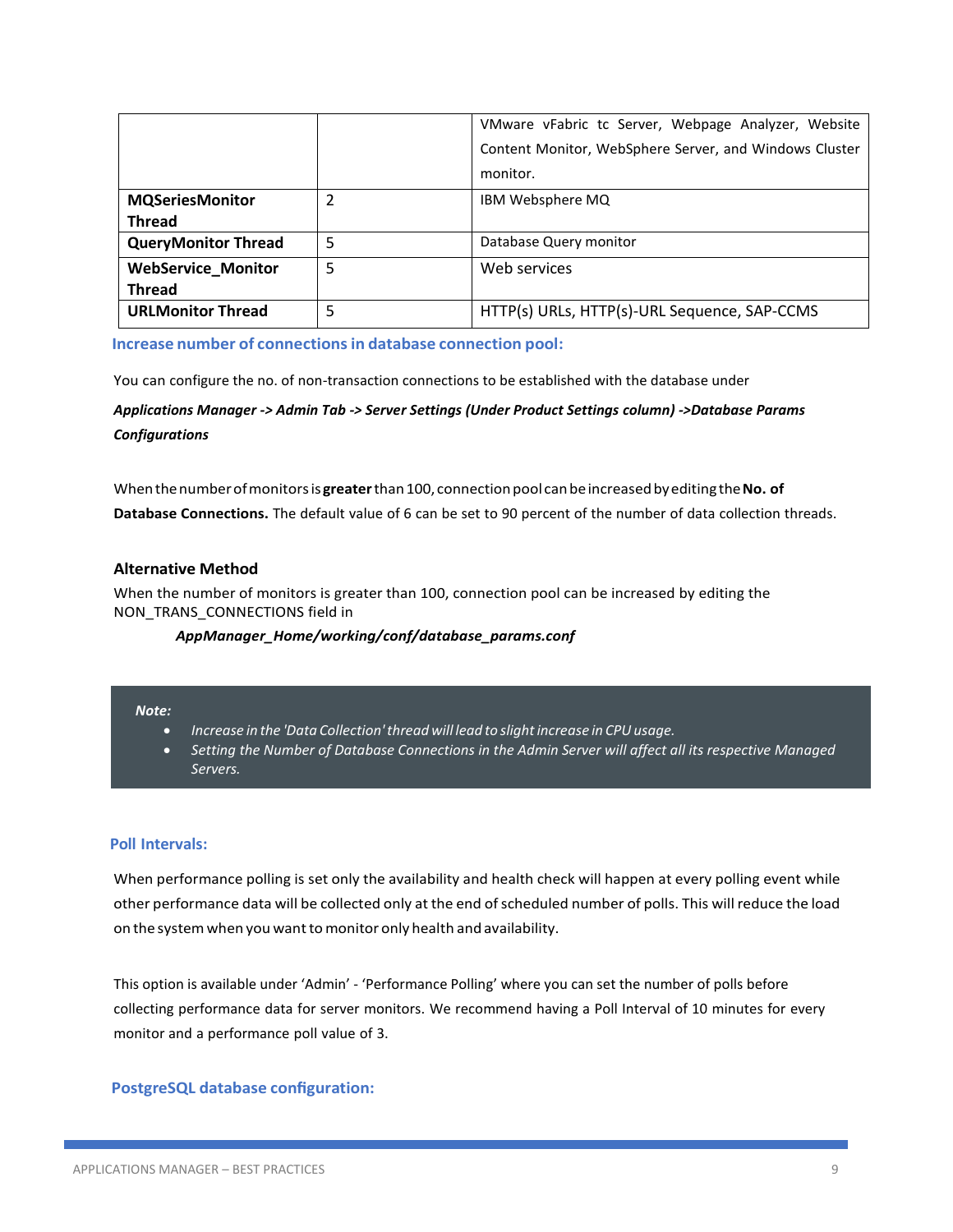|                            |   | VMware vFabric tc Server, Webpage Analyzer, Website    |
|----------------------------|---|--------------------------------------------------------|
|                            |   | Content Monitor, WebSphere Server, and Windows Cluster |
|                            |   | monitor.                                               |
| <b>MQSeriesMonitor</b>     | 2 | IBM Websphere MQ                                       |
| <b>Thread</b>              |   |                                                        |
| <b>QueryMonitor Thread</b> | 5 | Database Query monitor                                 |
| <b>WebService Monitor</b>  | 5 | Web services                                           |
| <b>Thread</b>              |   |                                                        |
| <b>URLMonitor Thread</b>   | 5 | HTTP(s) URLs, HTTP(s)-URL Sequence, SAP-CCMS           |

**Increase number of connectionsin database connection pool:**

You can configure the no. of non-transaction connections to be established with the database under

*Applications Manager -> Admin Tab -> Server Settings (Under Product Settings column) ->Database Params Configurations*

Whenthenumberofmonitorsis**greater**than100, connectionpool canbeincreasedbyediting the**No. of Database Connections.** The default value of 6 can be set to 90 percent of the number of data collection threads.

#### **Alternative Method**

When the number of monitors is greater than 100, connection pool can be increased by editing the NON\_TRANS\_CONNECTIONS field in

#### *AppManager\_Home/working/conf/database\_params.conf*

## *Note:*

- *Increase in the 'Data Collection'thread will lead to slightincrease in CPUusage.*
- *Setting the Number of Database Connections in the Admin Server will affect all its respective Managed Servers.*

#### **Poll Intervals:**

When performance polling is set only the availability and health check will happen at every polling event while other performance data will be collected only at the end ofscheduled number of polls. This will reduce the load on the system when you want to monitor only health and availability.

This option is available under 'Admin' - 'Performance Polling' where you can set the number of polls before collecting performance data for server monitors. We recommend having a Poll Interval of 10 minutes for every monitor and a performance poll value of 3.

## **PostgreSQL database configuration:**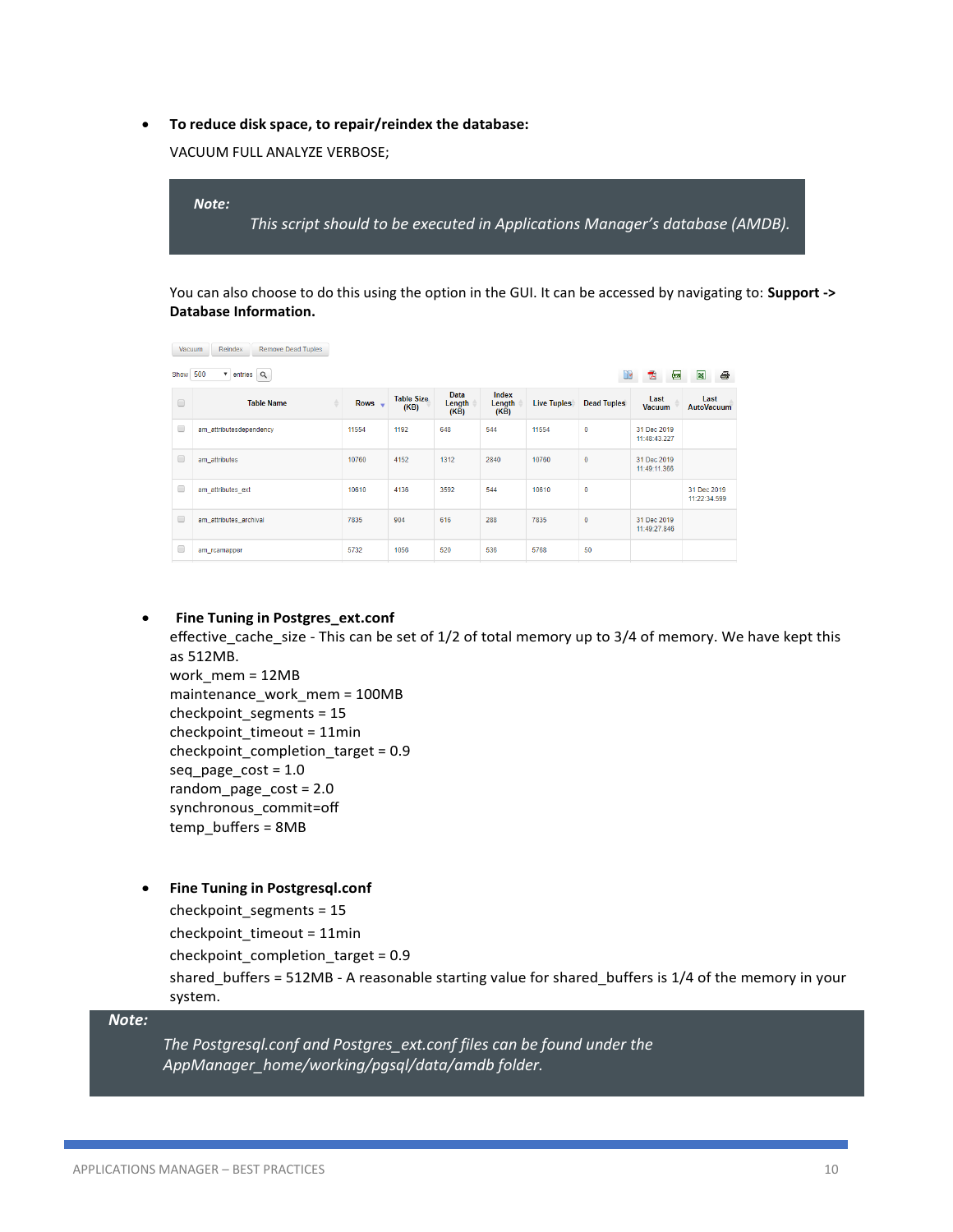• **To reduce disk space, to repair/reindex the database:**

VACUUM FULL ANALYZE VERBOSE;



You can also choose to do this using the option in the GUI. It can be accessed by navigating to: **Support -> Database Information.** 

| Reindex<br><b>Remove Dead Tuples</b><br>Vacuum                                |                         |                               |                           |                        |                         |                    |                    |                             |                             |
|-------------------------------------------------------------------------------|-------------------------|-------------------------------|---------------------------|------------------------|-------------------------|--------------------|--------------------|-----------------------------|-----------------------------|
| $\bullet$ entries $Q$<br>500<br>画<br>Show<br>$\mathbb{R}^3$<br>8<br>Œ.<br>TA. |                         |                               |                           |                        |                         |                    |                    |                             |                             |
| $\Box$                                                                        | <b>Table Name</b>       | Rows $\overline{\phantom{a}}$ | <b>Table Size</b><br>(KB) | Data<br>Length<br>(KB) | Index<br>Length<br>(KB) | <b>Live Tuples</b> | <b>Dead Tuples</b> | Last<br><b>Vacuum</b>       | Last<br><b>AutoVacuum</b>   |
| $\Box$                                                                        | am attributesdependency | 11554                         | 1192                      | 648                    | 544                     | 11554              | $\mathbf{0}$       | 31 Dec 2019<br>11:48:43.227 |                             |
| $\Box$                                                                        | am_attributes           | 10760                         | 4152                      | 1312                   | 2840                    | 10760              | $\mathbf{0}$       | 31 Dec 2019<br>11:49:11.366 |                             |
| O                                                                             | am attributes ext       | 10610                         | 4136                      | 3592                   | 544                     | 10610              | $\bf{0}$           |                             | 31 Dec 2019<br>11:22:34.599 |
| $\Box$                                                                        | am_attributes_archival  | 7835                          | 904                       | 616                    | 288                     | 7835               | $\mathbf{0}$       | 31 Dec 2019<br>11:49:27.846 |                             |
| c                                                                             | am rcamapper            | 5732                          | 1056                      | 520                    | 536                     | 5768               | 50                 |                             |                             |

# • **Fine Tuning in Postgres\_ext.conf**

effective cache size - This can be set of 1/2 of total memory up to 3/4 of memory. We have kept this as 512MB.

work\_mem = 12MB maintenance\_work\_mem = 100MB checkpoint\_segments = 15 checkpoint\_timeout = 11min checkpoint\_completion\_target = 0.9 seq\_page\_cost = 1.0 random\_page\_cost = 2.0 synchronous\_commit=off temp\_buffers = 8MB

# • **Fine Tuning in Postgresql.conf**

checkpoint\_segments = 15 checkpoint\_timeout = 11min

checkpoint completion target = 0.9

shared\_buffers = 512MB - A reasonable starting value for shared\_buffers is 1/4 of the memory in your system.

## *Note:*

*The Postgresql.conf and Postgres\_ext.conf files can be found under the AppManager\_home/working/pgsql/data/amdb folder.*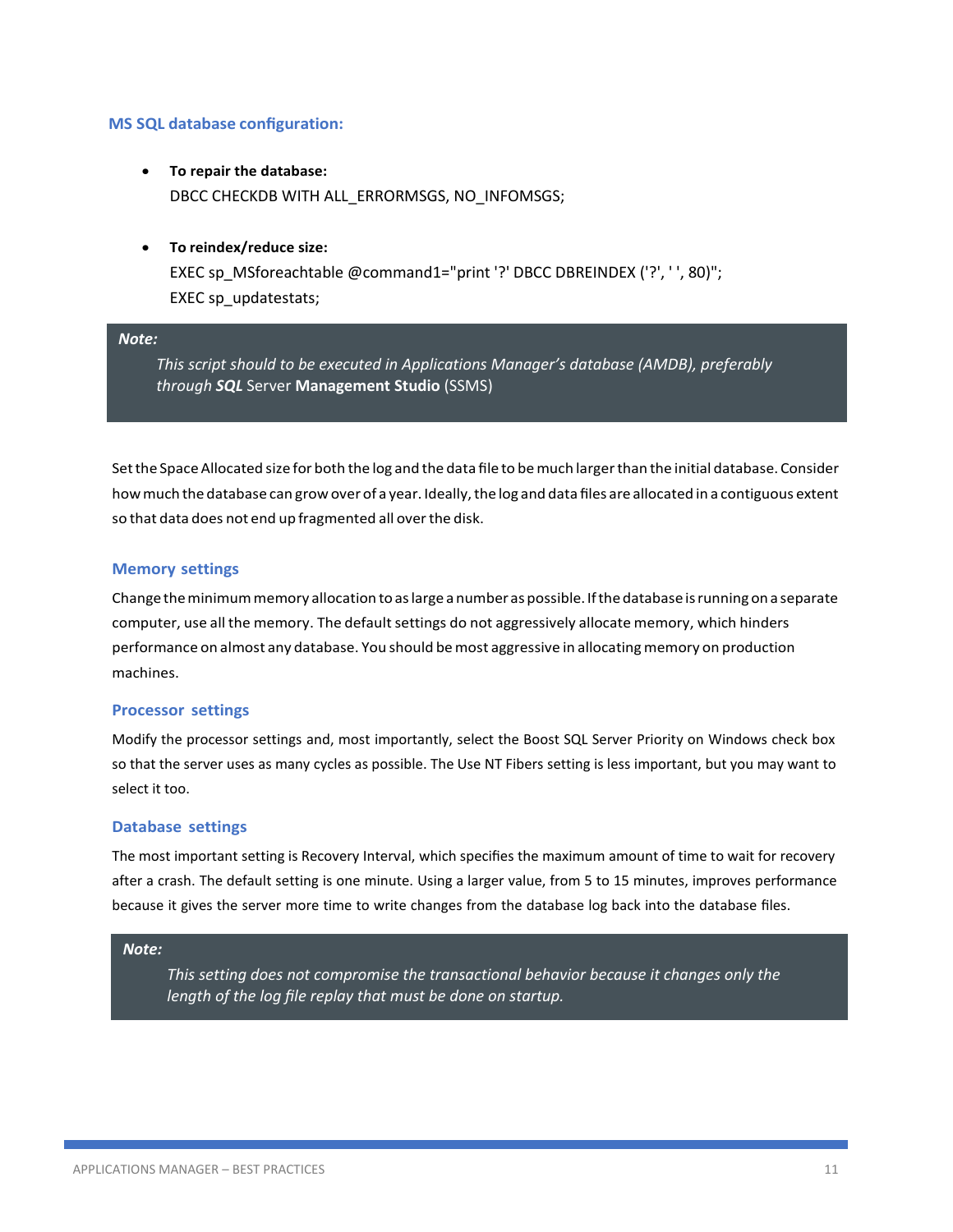## **MS SQL database configuration:**

- **To repair the database:** DBCC CHECKDB WITH ALL\_ERRORMSGS, NO\_INFOMSGS;
- **To reindex/reduce size:** EXEC sp\_MSforeachtable @command1="print '?' DBCC DBREINDEX ('?', ' ', 80)"; EXEC sp\_updatestats;

## *Note:*

*This script should to be executed in Applications Manager's database (AMDB), preferably through SQL* Server **Management Studio** (SSMS)

Set the Space Allocated size for both the log and the data file to be much larger than the initial database. Consider how much the database can grow over of a year. Ideally, the log and data files are allocated in a contiguous extent so that data does not end up fragmented all over the disk.

#### **Memory settings**

Change the minimum memory allocation to as large a number as possible. If the database is running on a separate computer, use all the memory. The default settings do not aggressively allocate memory, which hinders performance on almost any database. You should be most aggressive in allocating memory on production machines.

#### **Processor settings**

Modify the processor settings and, most importantly, select the Boost SQL Server Priority on Windows check box so that the server uses as many cycles as possible. The Use NT Fibers setting is less important, but you may want to select it too.

#### **Database settings**

The most important setting is Recovery Interval, which specifies the maximum amount of time to wait for recovery after a crash. The default setting is one minute. Using a larger value, from 5 to 15 minutes, improves performance because it gives the server more time to write changes from the database log back into the database files.

#### *Note:*

*This setting does not compromise the transactional behavior because it changes only the length of the log file replay that must be done on startup.*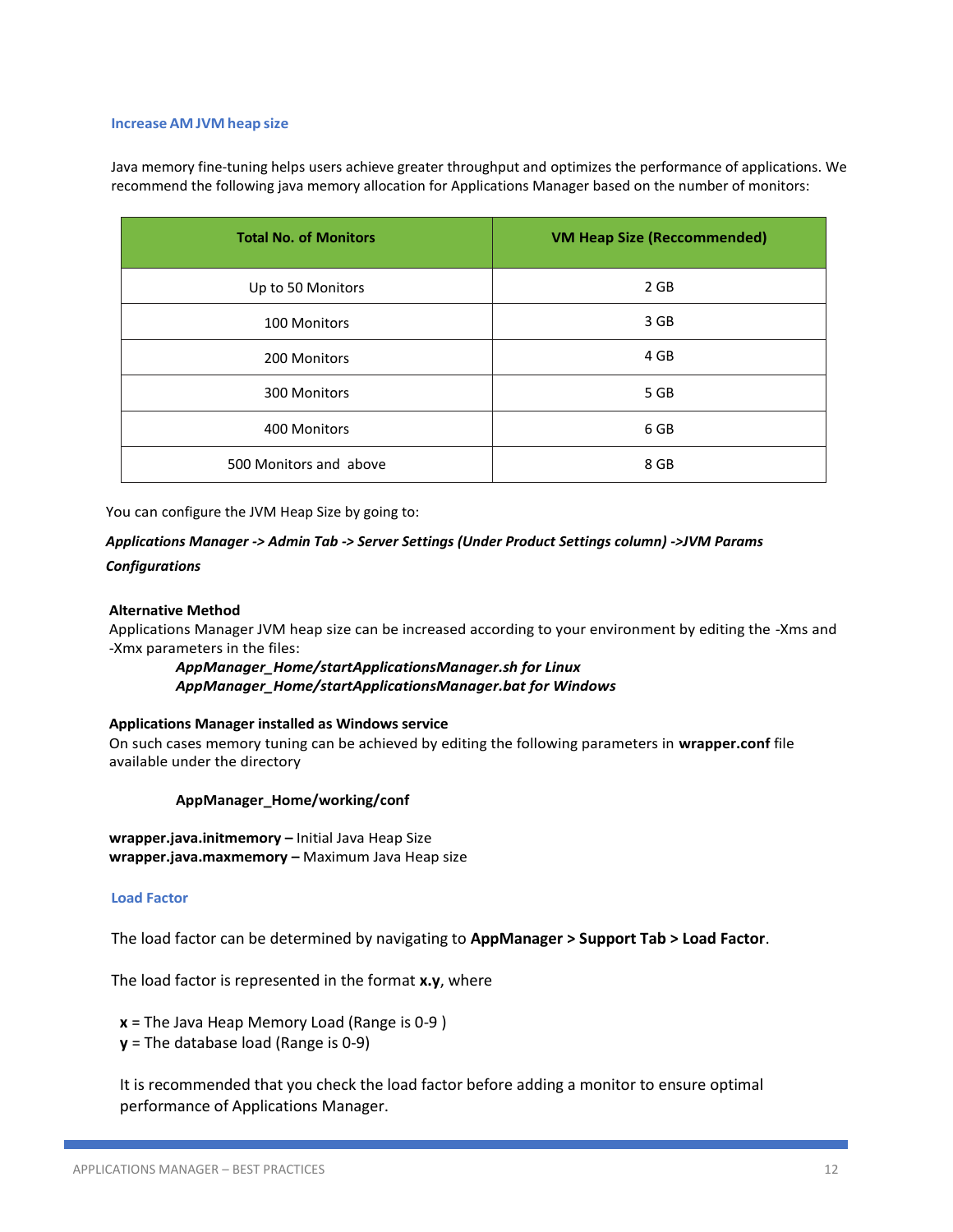#### **Increase AMJVM heap size**

Java memory fine-tuning helps users achieve greater throughput and optimizes the performance of applications. We recommend the following java memory allocation for Applications Manager based on the number of monitors:

| <b>Total No. of Monitors</b> | <b>VM Heap Size (Reccommended)</b> |
|------------------------------|------------------------------------|
| Up to 50 Monitors            | 2 GB                               |
| 100 Monitors                 | 3 GB                               |
| 200 Monitors                 | 4 GB                               |
| 300 Monitors                 | 5 GB                               |
| 400 Monitors                 | 6 GB                               |
| 500 Monitors and above       | 8 GB                               |

You can configure the JVM Heap Size by going to:

# *Applications Manager -> Admin Tab -> Server Settings (Under Product Settings column) ->JVM Params Configurations*

#### **Alternative Method**

Applications Manager JVM heap size can be increased according to your environment by editing the -Xms and -Xmx parameters in the files:

*AppManager\_Home/startApplicationsManager.sh for Linux AppManager\_Home/startApplicationsManager.bat for Windows*

#### **Applications Manager installed as Windows service**

On such cases memory tuning can be achieved by editing the following parameters in **wrapper.conf** file available under the directory

#### **AppManager\_Home/working/conf**

**wrapper.java.initmemory –** Initial Java Heap Size **wrapper.java.maxmemory –** Maximum Java Heap size

#### **Load Factor**

The load factor can be determined by navigating to **AppManager > Support Tab > Load Factor**.

The load factor is represented in the format **x.y**, where

**x** = The Java Heap Memory Load (Range is 0-9 )

**y** = The database load (Range is 0-9)

It is recommended that you check the load factor before adding a monitor to ensure optimal performance of Applications Manager.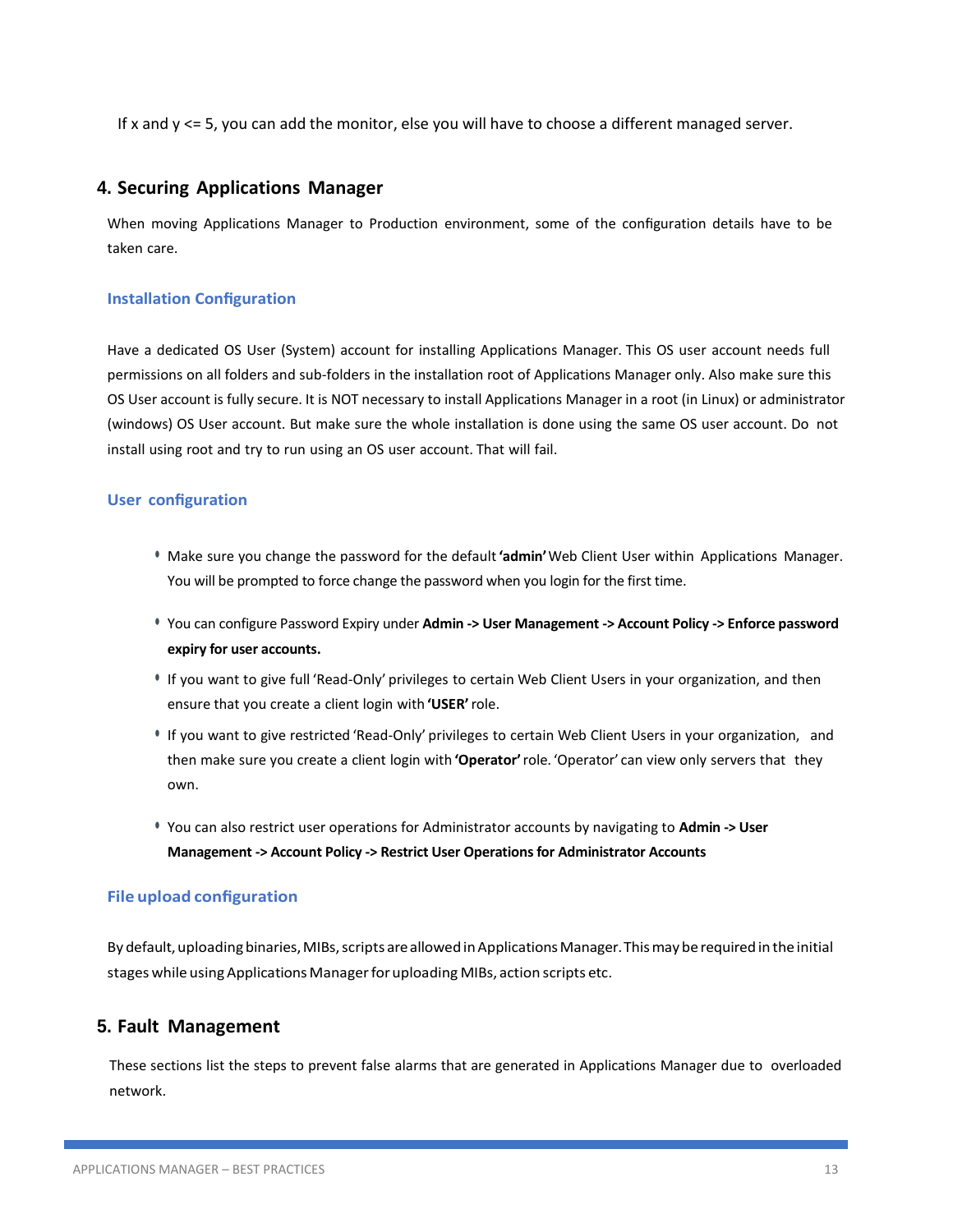If x and y <= 5, you can add the monitor, else you will have to choose a different managed server.

# **4. Securing Applications Manager**

When moving Applications Manager to Production environment, some of the configuration details have to be taken care.

# **Installation Configuration**

Have a dedicated OS User (System) account for installing Applications Manager. This OS user account needs full permissions on all folders and sub-folders in the installation root of Applications Manager only. Also make sure this OS User account is fully secure. It is NOT necessary to install Applications Manager in a root (in Linux) or administrator (windows) OS User account. But make sure the whole installation is done using the same OS user account. Do not install using root and try to run using an OS user account. That will fail.

## **User configuration**

- Make sure you change the password for the default**'admin'**Web Client User within Applications Manager. You will be prompted to force change the password when you login for the first time.
- You can configure Password Expiry under **Admin -> User Management -> Account Policy -> Enforce password expiry for user accounts.**
- If you want to give full 'Read-Only' privileges to certain Web Client Users in your organization, and then ensure that you create a client login with **'USER'**role.
- If you want to give restricted 'Read-Only' privileges to certain Web Client Users in your organization, and then make sure you create a client login with **'Operator'**role. 'Operator' can view only servers that they own.
- You can also restrict user operations for Administrator accounts by navigating to **Admin -> User Management -> Account Policy -> Restrict User Operations for Administrator Accounts**

## **File upload configuration**

By default, uploading binaries, MIBs, scripts are allowed in Applications Manager. This may be required in the initial stages while using Applications Manager for uploading MIBs, action scripts etc.

# **5. Fault Management**

These sections list the steps to prevent false alarms that are generated in Applications Manager due to overloaded network.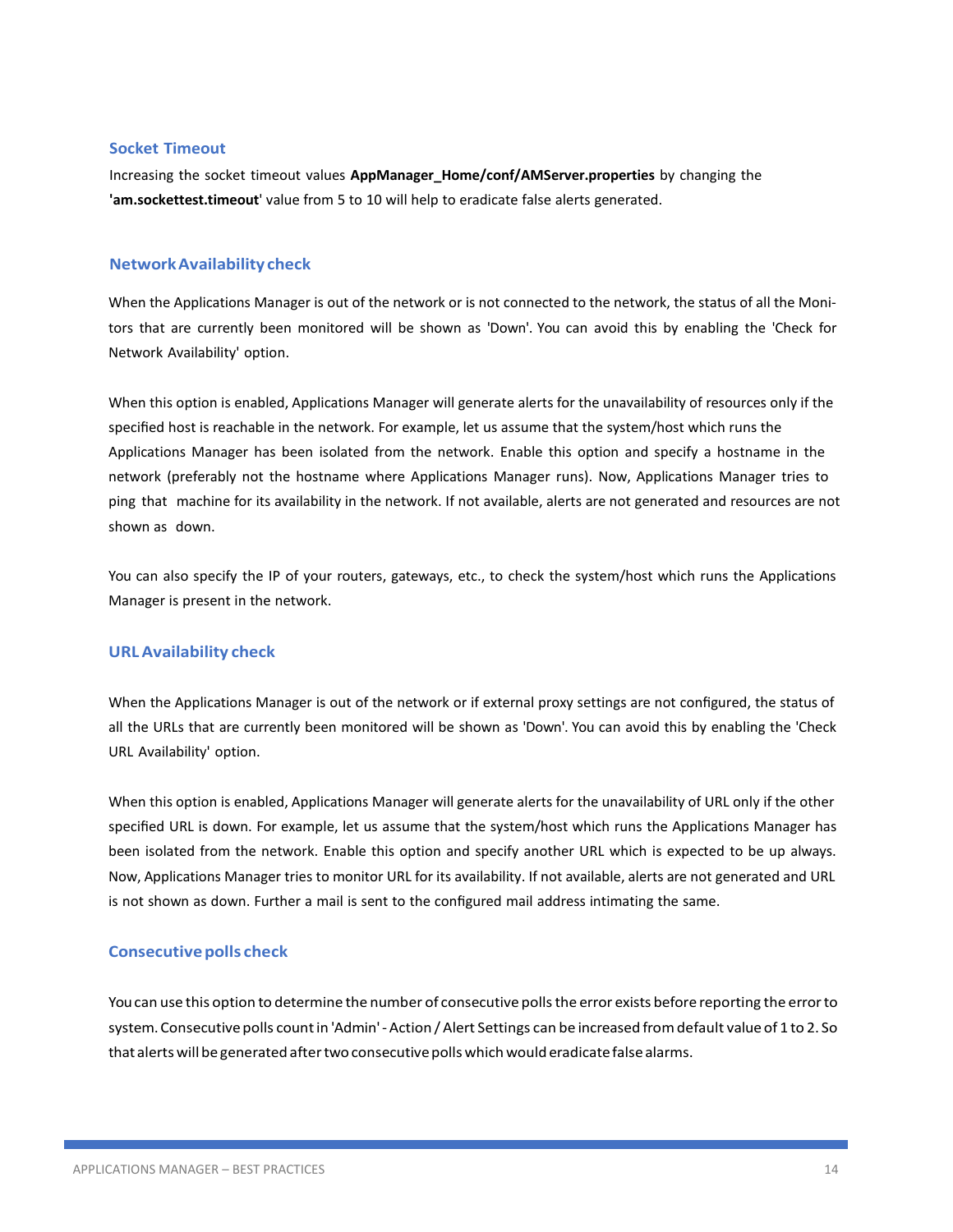#### **Socket Timeout**

Increasing the socket timeout values **AppManager\_Home/conf/AMServer.properties** by changing the **'am.sockettest.timeout**' value from 5 to 10 will help to eradicate false alerts generated.

## **NetworkAvailabilitycheck**

When the Applications Manager is out of the network or is not connected to the network, the status of all the Monitors that are currently been monitored will be shown as 'Down'. You can avoid this by enabling the 'Check for Network Availability' option.

When this option is enabled, Applications Manager will generate alerts for the unavailability of resources only if the specified host is reachable in the network. For example, let us assume that the system/host which runs the Applications Manager has been isolated from the network. Enable this option and specify a hostname in the network (preferably not the hostname where Applications Manager runs). Now, Applications Manager tries to ping that machine for its availability in the network. If not available, alerts are not generated and resources are not shown as down.

You can also specify the IP of your routers, gateways, etc., to check the system/host which runs the Applications Manager is present in the network.

## **URLAvailability check**

When the Applications Manager is out of the network or if external proxy settings are not configured, the status of all the URLs that are currently been monitored will be shown as 'Down'. You can avoid this by enabling the 'Check URL Availability' option.

When this option is enabled, Applications Manager will generate alerts for the unavailability of URL only if the other specified URL is down. For example, let us assume that the system/host which runs the Applications Manager has been isolated from the network. Enable this option and specify another URL which is expected to be up always. Now, Applications Manager tries to monitor URL for its availability. If not available, alerts are not generated and URL is not shown as down. Further a mail is sent to the configured mail address intimating the same.

#### **Consecutive polls check**

Youcan use this option to determine the number of consecutive pollsthe error exists before reporting the errorto system. Consecutive polls count in 'Admin' - Action / Alert Settings can be increased from default value of 1 to 2. So that alerts will be generated after two consecutive polls which would eradicate false alarms.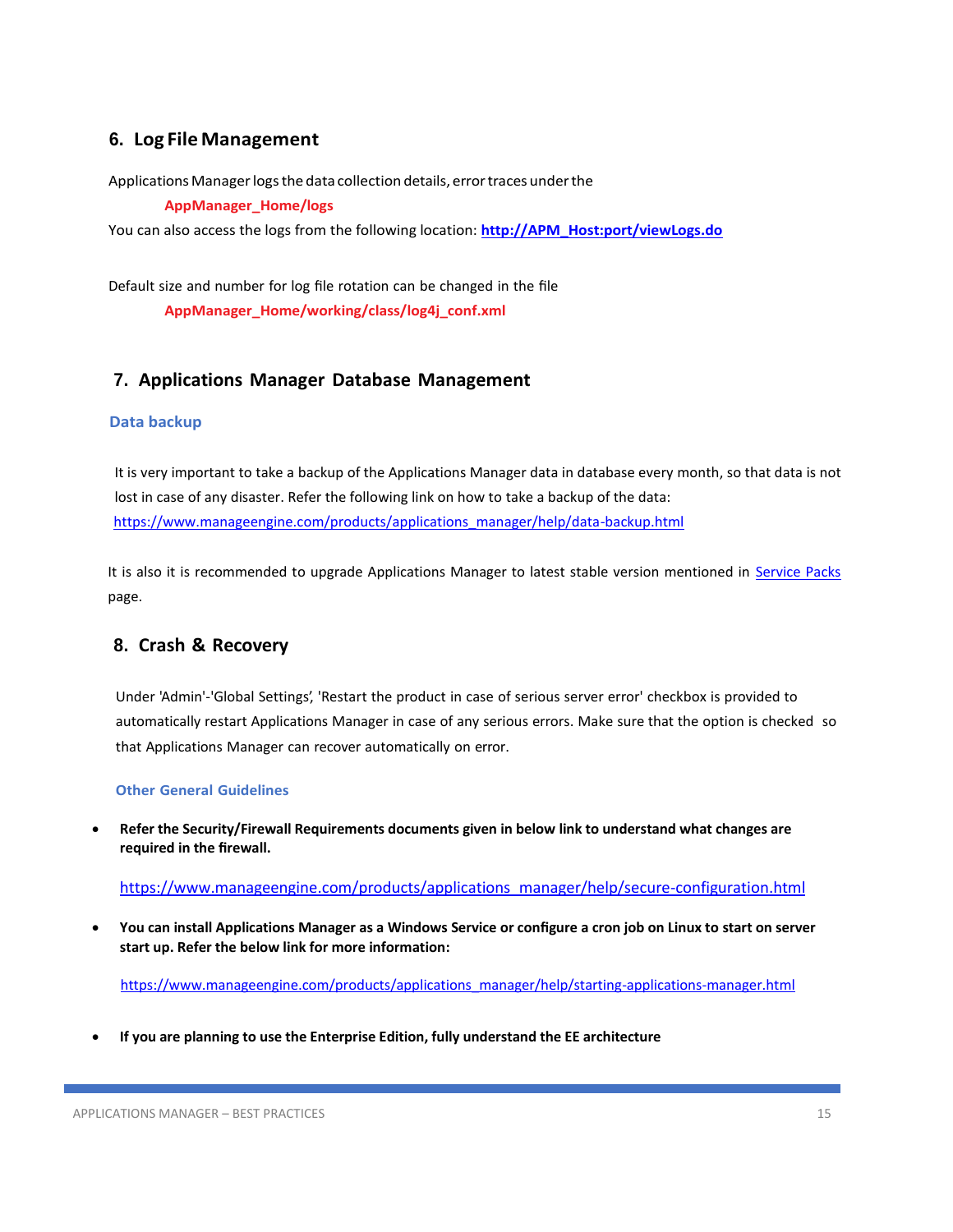# **6. Log FileManagement**

Applications Manager logs the data collection details, error traces under the

**AppManager\_Home/logs**

You can also access the logs from the following location: **[http://APM\\_Host:port/viewLogs.do](http://APM_Host:port/viewLogs.do)**

Default size and number for log file rotation can be changed in the file **AppManager\_Home/working/class/log4j\_conf.xml**

# **7. Applications Manager Database Management**

## **Data backup**

It is very important to take a backup of the Applications Manager data in database every month, so that data is not lost in case of any disaster. Refer the following link on how to take a backup of the data: [https://www.manageengine.com/products/applications\\_manager/help/data-backup.html](https://www.manageengine.com/products/applications_manager/help/data-backup.html)

It is also it is recommended to upgrade Applications Manager to latest stable version mentioned in Service Packs page.

# **8. Crash & Recovery**

Under 'Admin'-'Global Settings', 'Restart the product in case of serious server error' checkbox is provided to automatically restart Applications Manager in case of any serious errors. Make sure that the option is checked so that Applications Manager can recover automatically on error.

## **Other General Guidelines**

• **Refer the Security/Firewall Requirements documents given in below link to understand what changes are required in the firewall.**

[https://www.manageengine.com/products/applications\\_manager/help/secure-configuration.html](https://www.manageengine.com/products/applications_manager/help/secure-configuration.html)

• **You can install Applications Manager as a Windows Service or configure a cron job on Linux to start on server start up. Refer the below link for more information:**

[https://www.manageengine.com/products/applications\\_manager/help/starting-applications-manager.html](https://www.manageengine.com/products/applications_manager/help/starting-applications-manager.html)

• **If you are planning to use the Enterprise Edition, fully understand the EE architecture**